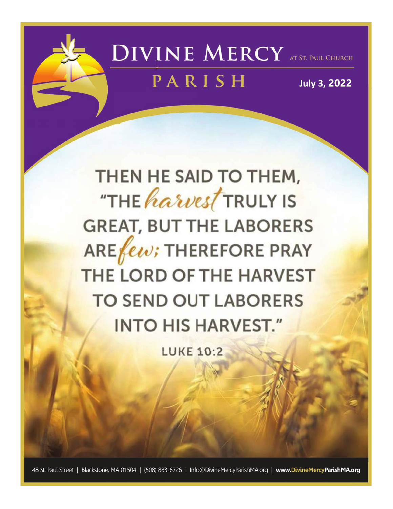

# **DIVINE MERCY** AT ST. PAUL CHURCH

## PARISH

**July 3, 2022** 

THEN HE SAID TO THEM, "THE harvest TRULY IS **GREAT, BUT THE LABORERS**  $AREfew$ ; THEREFORE PRAY THE LORD OF THE HARVEST **TO SEND OUT LABORERS INTO HIS HARVEST."** 

**LUKE 10:2** 

48 St. Paul Street | Blackstone, MA 01504 | (508) 883-6726 | Info@DivineMercyParishMA.org | www.DivineMercyParishMA.org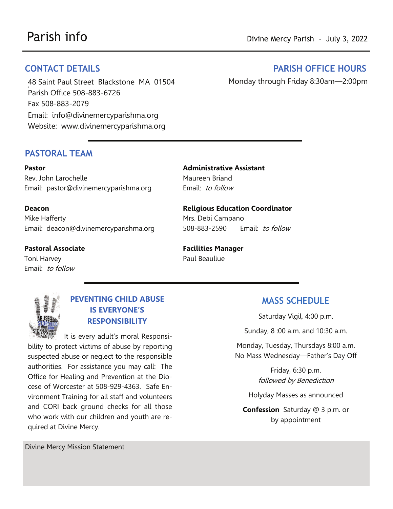48 Saint Paul Street Blackstone MA 01504 3 Parish Office 508-883-6726 Fax 508-883-2079 Email: info@divinemercyparishma.org Website: www.divinemercyparishma.org

#### PASTORAL TEAM

Pastor Rev. John Larochelle Email: pastor@divinemercyparishma.org

Deacon Mike Hafferty Email: deacon@divinemercyparishma.org

Pastoral Associate Toni Harvey Email: to follow

Administrative Assistant Maureen Briand Email: to follow

Religious Education Coordinator Mrs. Debi Campano 508-883-2590 Email: to follow

Facilities Manager Paul Beauliue



### PEVENTING CHILD ABUSE IS EVERYONE'S RESPONSIBILITY

 It is every adult's moral Responsibility to protect victims of abuse by reporting suspected abuse or neglect to the responsible authorities. For assistance you may call: The Office for Healing and Prevention at the Diocese of Worcester at 508-929-4363. Safe Environment Training for all staff and volunteers and CORI back ground checks for all those who work with our children and youth are required at Divine Mercy.

Divine Mercy Mission Statement

#### MASS SCHEDULE

Saturday Vigil, 4:00 p.m.

Sunday, 8 :00 a.m. and 10:30 a.m.

Monday, Tuesday, Thursdays 8:00 a.m. No Mass Wednesday—Father's Day Off

> Friday, 6:30 p.m. followed by Benediction

Holyday Masses as announced

Confession Saturday @ 3 p.m. or by appointment

#### CONTACT DETAILS PARISH OFFICE HOURS

Monday through Friday 8:30am—2:00pm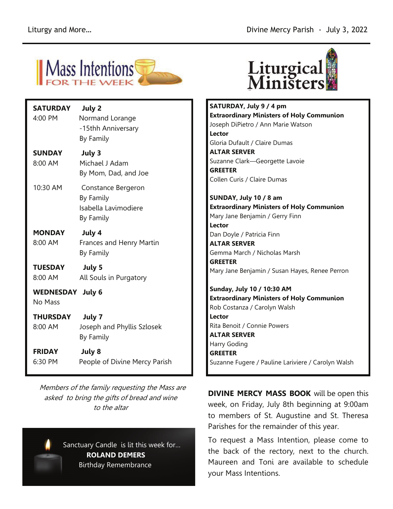

| <b>SATURDAY</b><br>4:00 PM         | July 2<br>Normand Lorange<br>-15thh Anniversary<br>By Family         |
|------------------------------------|----------------------------------------------------------------------|
| <b>SUNDAY</b><br>8:00 AM           | July 3<br>Michael J Adam<br>By Mom, Dad, and Joe                     |
| 10:30 AM                           | Constance Bergeron<br>By Family<br>Isabella Lavimodiere<br>By Family |
| <b>MONDAY</b><br>8:00 AM           | July 4<br>Frances and Henry Martin<br>By Family                      |
| TUESDAY<br>8:00 AM                 | July 5<br>All Souls in Purgatory                                     |
| <b>WEDNESDAY July 6</b><br>No Mass |                                                                      |
| <b>THURSDAY</b><br>8:00 AM         | July 7<br>Joseph and Phyllis Szlosek<br>By Family                    |
| <b>FRIDAY</b><br>6:30 PM           | July 8<br>People of Divine Mercy Parish                              |

 Members of the family requesting the Mass are asked to bring the gifts of bread and wine to the altar





SATURDAY, July 9 / 4 pm Extraordinary Ministers of Holy Communion Joseph DiPietro / Ann Marie Watson Lector Gloria Dufault / Claire Dumas ALTAR SERVER Suzanne Clark—Georgette Lavoie **GREETER** Collen Curis / Claire Dumas

SUNDAY, July 10 / 8 am Extraordinary Ministers of Holy Communion Mary Jane Benjamin / Gerry Finn Lector Dan Doyle / Patricia Finn

ALTAR SERVER Gemma March / Nicholas Marsh **GREETER** Mary Jane Benjamin / Susan Hayes, Renee Perron

Sunday, July 10 / 10:30 AM Extraordinary Ministers of Holy Communion Rob Costanza / Carolyn Walsh Lector Rita Benoit / Connie Powers ALTAR SERVER Harry Goding **GREETER** Suzanne Fugere / Pauline Lariviere / Carolyn Walsh

**DIVINE MERCY MASS BOOK** will be open this week, on Friday, July 8th beginning at 9:00am to members of St. Augustine and St. Theresa Parishes for the remainder of this year.

To request a Mass Intention, please come to the back of the rectory, next to the church. Maureen and Toni are available to schedule your Mass Intentions.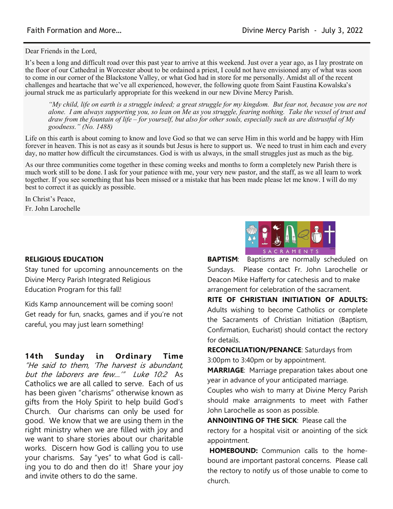Dear Friends in the Lord,

It's been a long and difficult road over this past year to arrive at this weekend. Just over a year ago, as I lay prostrate on the floor of our Cathedral in Worcester about to be ordained a priest, I could not have envisioned any of what was soon to come in our corner of the Blackstone Valley, or what God had in store for me personally. Amidst all of the recent challenges and heartache that we've all experienced, however, the following quote from Saint Faustina Kowalska's journal struck me as particularly appropriate for this weekend in our new Divine Mercy Parish.

*"My child, life on earth is a struggle indeed; a great struggle for my kingdom. But fear not, because you are not alone. I am always supporting you, so lean on Me as you struggle, fearing nothing. Take the vessel of trust and draw from the fountain of life – for yourself, but also for other souls, especially such as are distrustful of My goodness." (No. 1488)*

Life on this earth is about coming to know and love God so that we can serve Him in this world and be happy with Him forever in heaven. This is not as easy as it sounds but Jesus is here to support us. We need to trust in him each and every day, no matter how difficult the circumstances. God is with us always, in the small struggles just as much as the big.

As our three communities come together in these coming weeks and months to form a completely new Parish there is much work still to be done. I ask for your patience with me, your very new pastor, and the staff, as we all learn to work together. If you see something that has been missed or a mistake that has been made please let me know. I will do my best to correct it as quickly as possible.

In Christ's Peace, Fr. John Larochelle

#### RELIGIOUS EDUCATION

Stay tuned for upcoming announcements on the Divine Mercy Parish Integrated Religious Education Program for this fall!

Kids Kamp announcement will be coming soon! Get ready for fun, snacks, games and if you're not careful, you may just learn something!

14th Sunday in Ordinary Time "He said to them, 'The harvest is abundant, but the laborers are few…'" Luke 10:2 As Catholics we are all called to serve. Each of us has been given "charisms" otherwise known as gifts from the Holy Spirit to help build God's Church. Our charisms can only be used for good. We know that we are using them in the right ministry when we are filled with joy and we want to share stories about our charitable works. Discern how God is calling you to use your charisms. Say "yes" to what God is calling you to do and then do it! Share your joy and invite others to do the same.



**BAPTISM:** Baptisms are normally scheduled on Sundays. Please contact Fr. John Larochelle or Deacon Mike Hafferty for catechesis and to make arrangement for celebration of the sacrament.

RITE OF CHRISTIAN INITIATION OF ADULTS: Adults wishing to become Catholics or complete the Sacraments of Christian Initiation (Baptism, Confirmation, Eucharist) should contact the rectory for details.

RECONCILIATION/PENANCE: Saturdays from 3:00pm to 3:40pm or by appointment.

MARRIAGE: Marriage preparation takes about one year in advance of your anticipated marriage.

Couples who wish to marry at Divine Mercy Parish should make arraignments to meet with Father John Larochelle as soon as possible.

ANNOINTING OF THE SICK: Please call the rectory for a hospital visit or anointing of the sick appointment.

HOMEBOUND: Communion calls to the homebound are important pastoral concerns. Please call the rectory to notify us of those unable to come to church.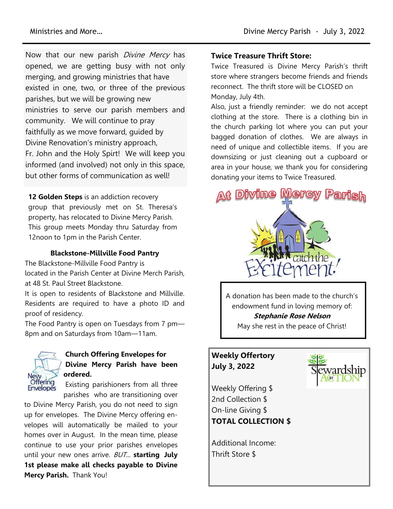Now that our new parish *Divine Mercy* has opened, we are getting busy with not only merging, and growing ministries that have existed in one, two, or three of the previous parishes, but we will be growing new ministries to serve our parish members and community. We will continue to pray faithfully as we move forward, guided by Divine Renovation's ministry approach, Fr. John and the Holy Spirt! We will keep you informed (and involved) not only in this space, but other forms of communication as well!

12 Golden Steps is an addiction recovery group that previously met on St. Theresa's property, has relocated to Divine Mercy Parish. This group meets Monday thru Saturday from 12noon to 1pm in the Parish Center.

#### Blackstone-Millville Food Pantry

The Blackstone-Millville Food Pantry is located in the Parish Center at Divine Merch Parish, at 48 St. Paul Street Blackstone.

It is open to residents of Blackstone and Millville. Residents are required to have a photo ID and proof of residency.

The Food Pantry is open on Tuesdays from 7 pm— 8pm and on Saturdays from 10am—11am.



#### Church Offering Envelopes for Divine Mercy Parish have been ordered.

Existing parishioners from all three parishes who are transitioning over

to Divine Mercy Parish, you do not need to sign up for envelopes. The Divine Mercy offering envelopes will automatically be mailed to your homes over in August. In the mean time, please continue to use your prior parishes envelopes until your new ones arrive.  $BUT$ ... starting July 1st please make all checks payable to Divine Mercy Parish. Thank You!

#### Twice Treasure Thrift Store:

Twice Treasured is Divine Mercy Parish's thrift store where strangers become friends and friends reconnect. The thrift store will be CLOSED on Monday, July 4th.

Also, just a friendly reminder: we do not accept clothing at the store. There is a clothing bin in the church parking lot where you can put your bagged donation of clothes. We are always in need of unique and collectible items. If you are downsizing or just cleaning out a cupboard or area in your house, we thank you for considering donating your items to Twice Treasured.



A donation has been made to the church's endowment fund in loving memory of: Stephanie Rose Nelson May she rest in the peace of Christ!

#### Weekly Offertory July 3, 2022

Weekly Offering \$ 2nd Collection \$ On-line Giving \$ TOTAL COLLECTION \$

Additional Income: Thrift Store \$